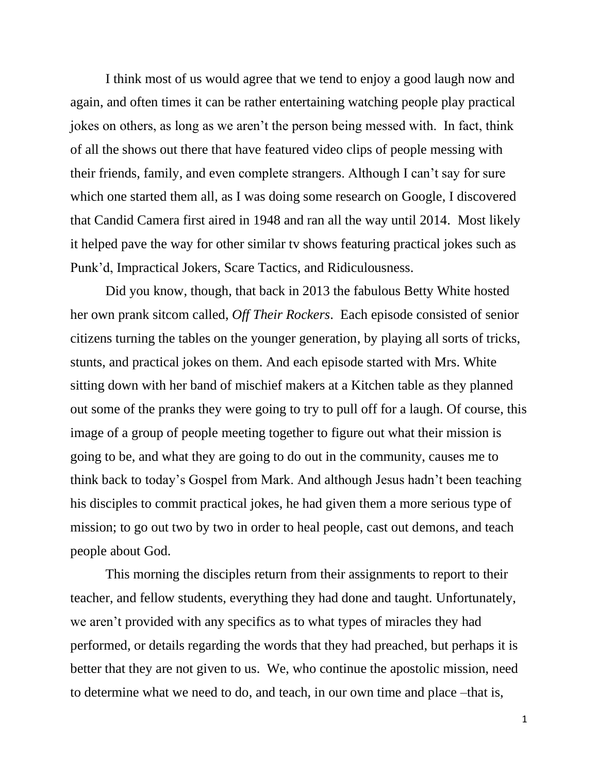I think most of us would agree that we tend to enjoy a good laugh now and again, and often times it can be rather entertaining watching people play practical jokes on others, as long as we aren't the person being messed with. In fact, think of all the shows out there that have featured video clips of people messing with their friends, family, and even complete strangers. Although I can't say for sure which one started them all, as I was doing some research on Google, I discovered that Candid Camera first aired in 1948 and ran all the way until 2014. Most likely it helped pave the way for other similar tv shows featuring practical jokes such as Punk'd, Impractical Jokers, Scare Tactics, and Ridiculousness.

Did you know, though, that back in 2013 the fabulous Betty White hosted her own prank sitcom called, *Off Their Rockers*. Each episode consisted of senior citizens turning the tables on the younger generation, by playing all sorts of tricks, stunts, and practical jokes on them. And each episode started with Mrs. White sitting down with her band of mischief makers at a Kitchen table as they planned out some of the pranks they were going to try to pull off for a laugh. Of course, this image of a group of people meeting together to figure out what their mission is going to be, and what they are going to do out in the community, causes me to think back to today's Gospel from Mark. And although Jesus hadn't been teaching his disciples to commit practical jokes, he had given them a more serious type of mission; to go out two by two in order to heal people, cast out demons, and teach people about God.

This morning the disciples return from their assignments to report to their teacher, and fellow students, everything they had done and taught. Unfortunately, we aren't provided with any specifics as to what types of miracles they had performed, or details regarding the words that they had preached, but perhaps it is better that they are not given to us. We, who continue the apostolic mission, need to determine what we need to do, and teach, in our own time and place –that is,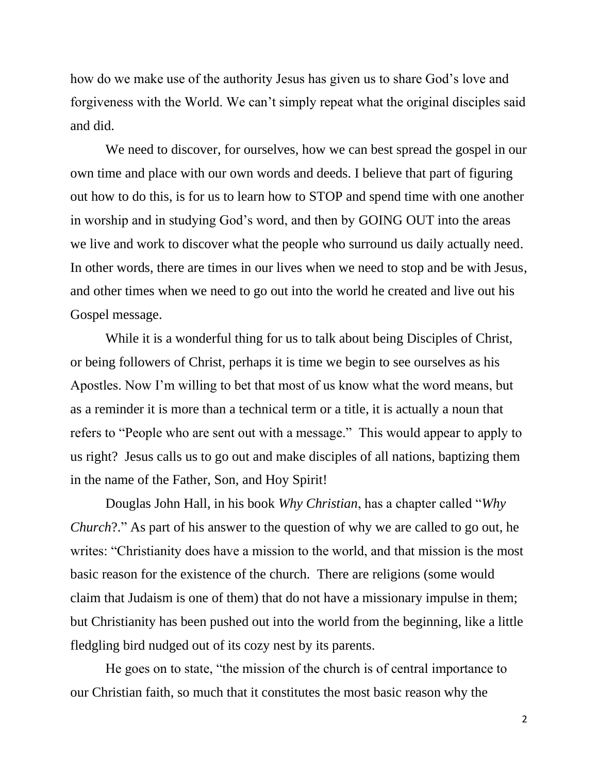how do we make use of the authority Jesus has given us to share God's love and forgiveness with the World. We can't simply repeat what the original disciples said and did.

We need to discover, for ourselves, how we can best spread the gospel in our own time and place with our own words and deeds. I believe that part of figuring out how to do this, is for us to learn how to STOP and spend time with one another in worship and in studying God's word, and then by GOING OUT into the areas we live and work to discover what the people who surround us daily actually need. In other words, there are times in our lives when we need to stop and be with Jesus, and other times when we need to go out into the world he created and live out his Gospel message.

While it is a wonderful thing for us to talk about being Disciples of Christ, or being followers of Christ, perhaps it is time we begin to see ourselves as his Apostles. Now I'm willing to bet that most of us know what the word means, but as a reminder it is more than a technical term or a title, it is actually a noun that refers to "People who are sent out with a message." This would appear to apply to us right? Jesus calls us to go out and make disciples of all nations, baptizing them in the name of the Father, Son, and Hoy Spirit!

Douglas John Hall, in his book *Why Christian*, has a chapter called "*Why Church*?." As part of his answer to the question of why we are called to go out, he writes: "Christianity does have a mission to the world, and that mission is the most basic reason for the existence of the church. There are religions (some would claim that Judaism is one of them) that do not have a missionary impulse in them; but Christianity has been pushed out into the world from the beginning, like a little fledgling bird nudged out of its cozy nest by its parents.

He goes on to state, "the mission of the church is of central importance to our Christian faith, so much that it constitutes the most basic reason why the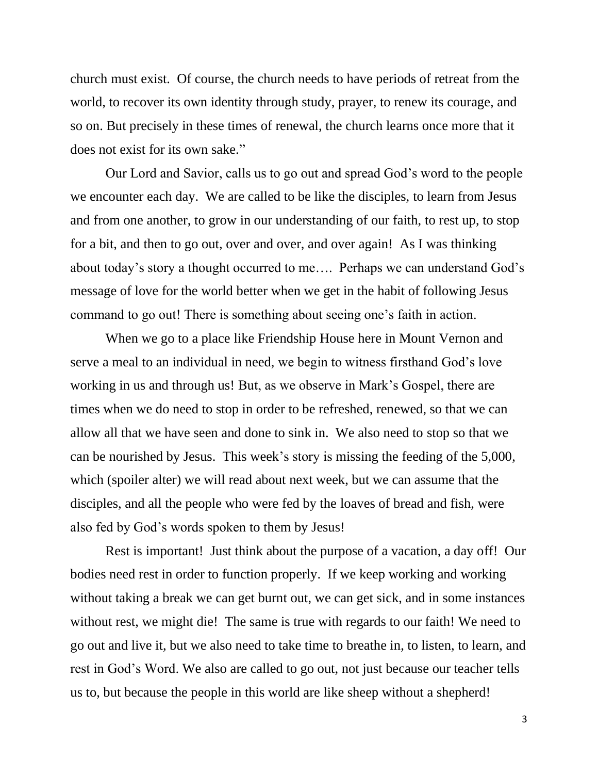church must exist. Of course, the church needs to have periods of retreat from the world, to recover its own identity through study, prayer, to renew its courage, and so on. But precisely in these times of renewal, the church learns once more that it does not exist for its own sake."

Our Lord and Savior, calls us to go out and spread God's word to the people we encounter each day. We are called to be like the disciples, to learn from Jesus and from one another, to grow in our understanding of our faith, to rest up, to stop for a bit, and then to go out, over and over, and over again! As I was thinking about today's story a thought occurred to me…. Perhaps we can understand God's message of love for the world better when we get in the habit of following Jesus command to go out! There is something about seeing one's faith in action.

When we go to a place like Friendship House here in Mount Vernon and serve a meal to an individual in need, we begin to witness firsthand God's love working in us and through us! But, as we observe in Mark's Gospel, there are times when we do need to stop in order to be refreshed, renewed, so that we can allow all that we have seen and done to sink in. We also need to stop so that we can be nourished by Jesus. This week's story is missing the feeding of the 5,000, which (spoiler alter) we will read about next week, but we can assume that the disciples, and all the people who were fed by the loaves of bread and fish, were also fed by God's words spoken to them by Jesus!

Rest is important! Just think about the purpose of a vacation, a day off! Our bodies need rest in order to function properly. If we keep working and working without taking a break we can get burnt out, we can get sick, and in some instances without rest, we might die! The same is true with regards to our faith! We need to go out and live it, but we also need to take time to breathe in, to listen, to learn, and rest in God's Word. We also are called to go out, not just because our teacher tells us to, but because the people in this world are like sheep without a shepherd!

3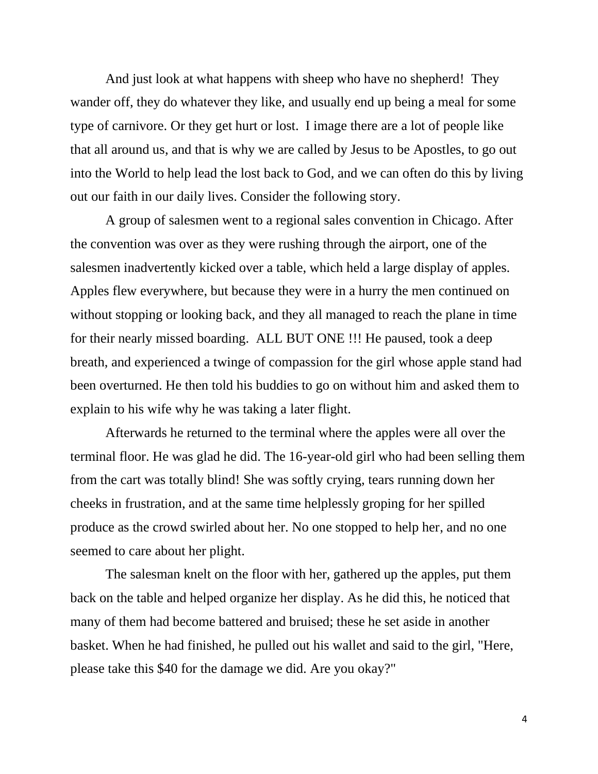And just look at what happens with sheep who have no shepherd! They wander off, they do whatever they like, and usually end up being a meal for some type of carnivore. Or they get hurt or lost. I image there are a lot of people like that all around us, and that is why we are called by Jesus to be Apostles, to go out into the World to help lead the lost back to God, and we can often do this by living out our faith in our daily lives. Consider the following story.

A group of salesmen went to a regional sales convention in Chicago. After the convention was over as they were rushing through the airport, one of the salesmen inadvertently kicked over a table, which held a large display of apples. Apples flew everywhere, but because they were in a hurry the men continued on without stopping or looking back, and they all managed to reach the plane in time for their nearly missed boarding. ALL BUT ONE !!! He paused, took a deep breath, and experienced a twinge of compassion for the girl whose apple stand had been overturned. He then told his buddies to go on without him and asked them to explain to his wife why he was taking a later flight.

Afterwards he returned to the terminal where the apples were all over the terminal floor. He was glad he did. The 16-year-old girl who had been selling them from the cart was totally blind! She was softly crying, tears running down her cheeks in frustration, and at the same time helplessly groping for her spilled produce as the crowd swirled about her. No one stopped to help her, and no one seemed to care about her plight.

The salesman knelt on the floor with her, gathered up the apples, put them back on the table and helped organize her display. As he did this, he noticed that many of them had become battered and bruised; these he set aside in another basket. When he had finished, he pulled out his wallet and said to the girl, "Here, please take this \$40 for the damage we did. Are you okay?"